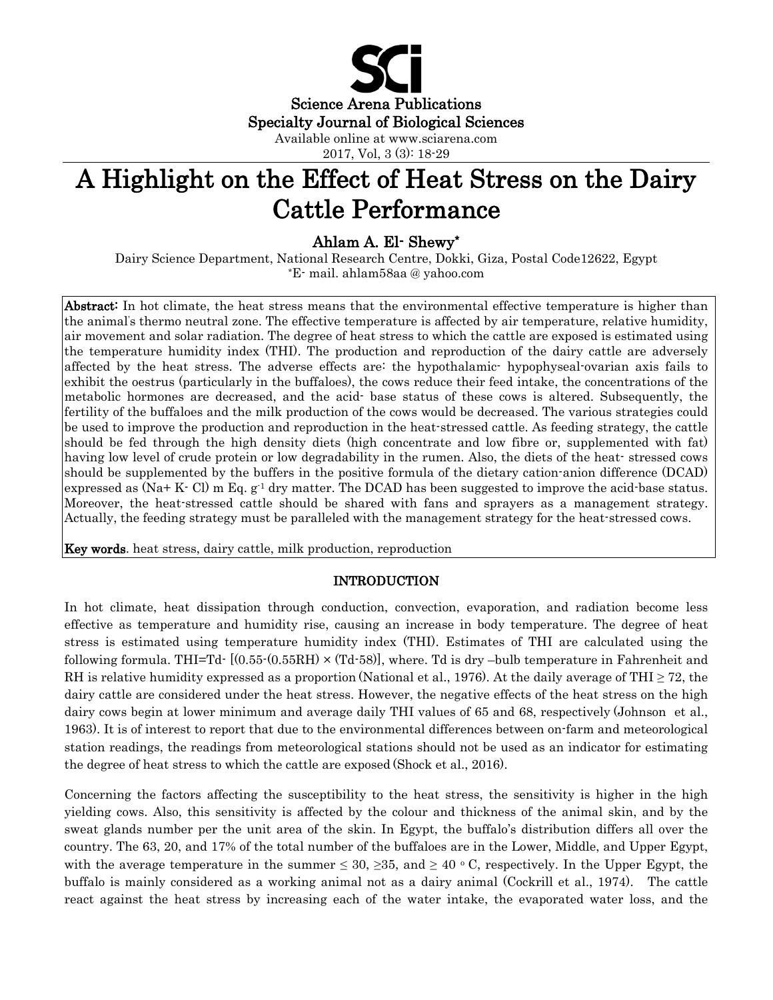

# A Highlight on the Effect of Heat Stress on the Dairy Cattle Performance

Ahlam A. El- Shewy\*

Dairy Science Department, National Research Centre, Dokki, Giza, Postal Code12622, Egypt \*E- mail. ahlam58aa @ yahoo.com

Abstract: In hot climate, the heat stress means that the environmental effective temperature is higher than the animal' s thermo neutral zone. The effective temperature is affected by air temperature, relative humidity, air movement and solar radiation. The degree of heat stress to which the cattle are exposed is estimated using the temperature humidity index (THI). The production and reproduction of the dairy cattle are adversely affected by the heat stress. The adverse effects are: the hypothalamic- hypophyseal-ovarian axis fails to exhibit the oestrus (particularly in the buffaloes), the cows reduce their feed intake, the concentrations of the metabolic hormones are decreased, and the acid- base status of these cows is altered. Subsequently, the fertility of the buffaloes and the milk production of the cows would be decreased. The various strategies could be used to improve the production and reproduction in the heat-stressed cattle. As feeding strategy, the cattle should be fed through the high density diets (high concentrate and low fibre or, supplemented with fat) having low level of crude protein or low degradability in the rumen. Also, the diets of the heat- stressed cows should be supplemented by the buffers in the positive formula of the dietary cation-anion difference (DCAD) expressed as  $(Na+ K- Cl)$  m Eq. g<sup>-1</sup> dry matter. The DCAD has been suggested to improve the acid-base status. Moreover, the heat-stressed cattle should be shared with fans and sprayers as a management strategy. Actually, the feeding strategy must be paralleled with the management strategy for the heat-stressed cows.

Key words. heat stress, dairy cattle, milk production, reproduction

# INTRODUCTION

In hot climate, heat dissipation through conduction, convection, evaporation, and radiation become less effective as temperature and humidity rise, causing an increase in body temperature. The degree of heat stress is estimated using temperature humidity index (THI). Estimates of THI are calculated using the following formula. THI=Td-  $[(0.55-(0.55RH) \times (Td-58)]$ , where. Td is dry –bulb temperature in Fahrenheit and RH is relative humidity expressed as a proportion (National et al., 1976). At the daily average of THI  $\geq$  72, the dairy cattle are considered under the heat stress. However, the negative effects of the heat stress on the high dairy cows begin at lower minimum and average daily THI values of 65 and 68, respectively (Johnson et al., 1963). It is of interest to report that due to the environmental differences between on-farm and meteorological station readings, the readings from meteorological stations should not be used as an indicator for estimating the degree of heat stress to which the cattle are exposed (Shock et al., 2016).

Concerning the factors affecting the susceptibility to the heat stress, the sensitivity is higher in the high yielding cows. Also, this sensitivity is affected by the colour and thickness of the animal skin, and by the sweat glands number per the unit area of the skin. In Egypt, the buffalo's distribution differs all over the country. The 63, 20, and 17% of the total number of the buffaloes are in the Lower, Middle, and Upper Egypt, with the average temperature in the summer  $\leq 30, \geq 35,$  and  $\geq 40$  °C, respectively. In the Upper Egypt, the buffalo is mainly considered as a working animal not as a dairy animal (Cockrill et al., 1974). The cattle react against the heat stress by increasing each of the water intake, the evaporated water loss, and the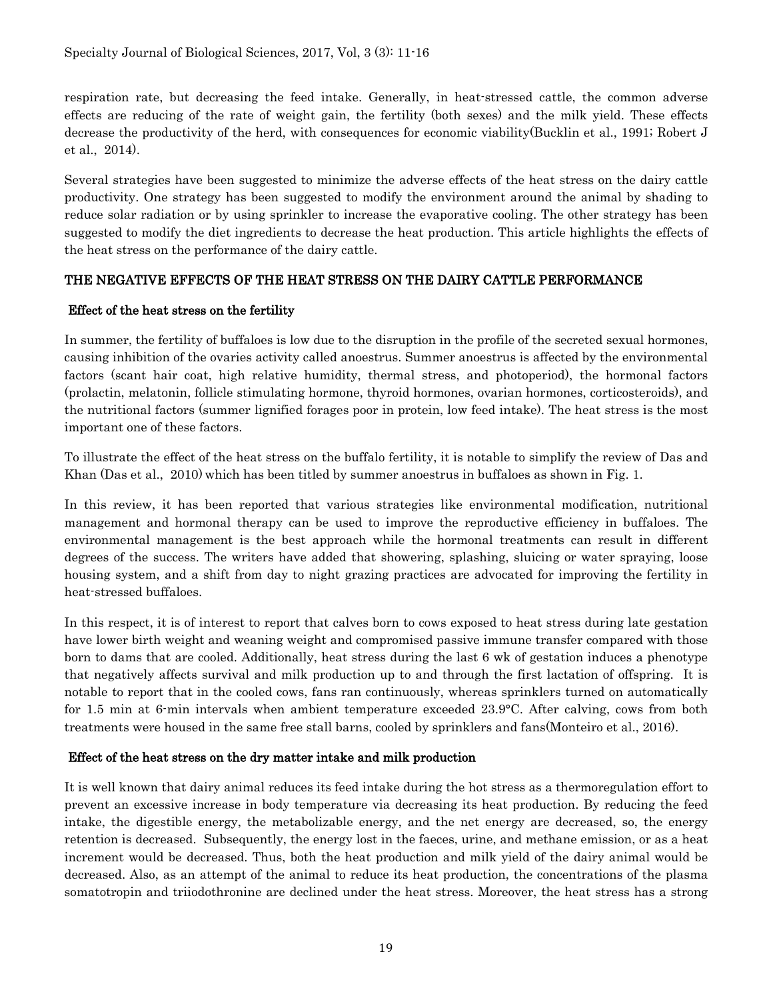respiration rate, but decreasing the feed intake. Generally, in heat-stressed cattle, the common adverse effects are reducing of the rate of weight gain, the fertility (both sexes) and the milk yield. These effects decrease the productivity of the herd, with consequences for economic viability(Bucklin et al., 1991; Robert J et al., 2014).

Several strategies have been suggested to minimize the adverse effects of the heat stress on the dairy cattle productivity. One strategy has been suggested to modify the environment around the animal by shading to reduce solar radiation or by using sprinkler to increase the evaporative cooling. The other strategy has been suggested to modify the diet ingredients to decrease the heat production. This article highlights the effects of the heat stress on the performance of the dairy cattle.

# THE NEGATIVE EFFECTS OF THE HEAT STRESS ON THE DAIRY CATTLE PERFORMANCE

## Effect of the heat stress on the fertility

In summer, the fertility of buffaloes is low due to the disruption in the profile of the secreted sexual hormones, causing inhibition of the ovaries activity called anoestrus. Summer anoestrus is affected by the environmental factors (scant hair coat, high relative humidity, thermal stress, and photoperiod), the hormonal factors (prolactin, melatonin, follicle stimulating hormone, thyroid hormones, ovarian hormones, corticosteroids), and the nutritional factors (summer lignified forages poor in protein, low feed intake). The heat stress is the most important one of these factors.

To illustrate the effect of the heat stress on the buffalo fertility, it is notable to simplify the review of Das and Khan (Das et al., 2010) which has been titled by summer anoestrus in buffaloes as shown in Fig. 1.

In this review, it has been reported that various strategies like environmental modification, nutritional management and hormonal therapy can be used to improve the reproductive efficiency in buffaloes. The environmental management is the best approach while the hormonal treatments can result in different degrees of the success. The writers have added that showering, splashing, sluicing or water spraying, loose housing system, and a shift from day to night grazing practices are advocated for improving the fertility in heat-stressed buffaloes.

In this respect, it is of interest to report that calves born to cows exposed to heat stress during late gestation have lower birth weight and weaning weight and compromised passive immune transfer compared with those born to dams that are cooled. Additionally, heat stress during the last 6 wk of gestation induces a phenotype that negatively affects survival and milk production up to and through the first lactation of offspring. It is notable to report that in the cooled cows, fans ran continuously, whereas sprinklers turned on automatically for 1.5 min at 6-min intervals when ambient temperature exceeded 23.9°C. After calving, cows from both treatments were housed in the same free stall barns, cooled by sprinklers and fans(Monteiro et al., 2016).

### Effect of the heat stress on the dry matter intake and milk production

It is well known that dairy animal reduces its feed intake during the hot stress as a thermoregulation effort to prevent an excessive increase in body temperature via decreasing its heat production. By reducing the feed intake, the digestible energy, the metabolizable energy, and the net energy are decreased, so, the energy retention is decreased. Subsequently, the energy lost in the faeces, urine, and methane emission, or as a heat increment would be decreased. Thus, both the heat production and milk yield of the dairy animal would be decreased. Also, as an attempt of the animal to reduce its heat production, the concentrations of the plasma somatotropin and triiodothronine are declined under the heat stress. Moreover, the heat stress has a strong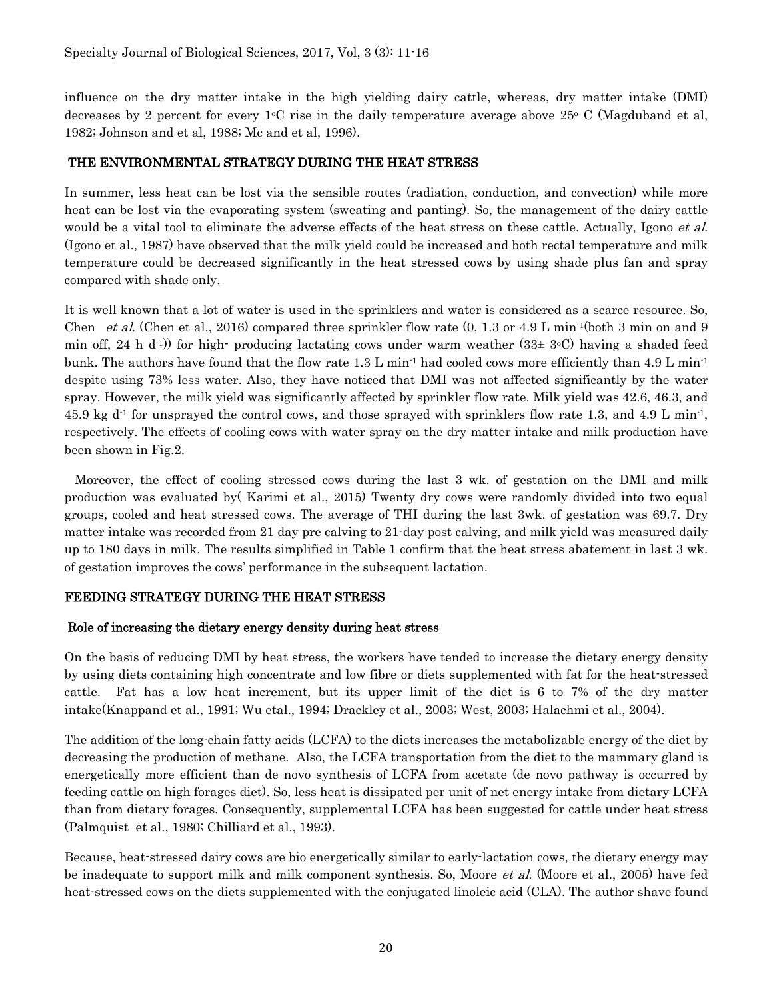influence on the dry matter intake in the high yielding dairy cattle, whereas, dry matter intake (DMI) decreases by 2 percent for every  $1^{\circ}C$  rise in the daily temperature average above 25 $^{\circ}C$  (Magduband et al, 1982; Johnson and et al, 1988; Mc and et al, 1996).

## THE ENVIRONMENTAL STRATEGY DURING THE HEAT STRESS

In summer, less heat can be lost via the sensible routes (radiation, conduction, and convection) while more heat can be lost via the evaporating system (sweating and panting). So, the management of the dairy cattle would be a vital tool to eliminate the adverse effects of the heat stress on these cattle. Actually, Igono *et al.* (Igono et al., 1987) have observed that the milk yield could be increased and both rectal temperature and milk temperature could be decreased significantly in the heat stressed cows by using shade plus fan and spray compared with shade only.

It is well known that a lot of water is used in the sprinklers and water is considered as a scarce resource. So, Chen et al. (Chen et al., 2016) compared three sprinkler flow rate  $(0, 1.3 \text{ or } 4.9 \text{ L min}^{-1}(\text{both } 3 \text{ min on and } 9$ min off, 24 h d<sup>-1</sup>) for high- producing lactating cows under warm weather (33 $\pm$  3<sup>o</sup>C) having a shaded feed bunk. The authors have found that the flow rate 1.3 L min<sup>-1</sup> had cooled cows more efficiently than 4.9 L min<sup>-1</sup> despite using 73% less water. Also, they have noticed that DMI was not affected significantly by the water spray. However, the milk yield was significantly affected by sprinkler flow rate. Milk yield was 42.6, 46.3, and 45.9 kg  $d^1$  for unsprayed the control cows, and those sprayed with sprinklers flow rate 1.3, and 4.9 L min<sup>-1</sup>, respectively. The effects of cooling cows with water spray on the dry matter intake and milk production have been shown in Fig.2.

 Moreover, the effect of cooling stressed cows during the last 3 wk. of gestation on the DMI and milk production was evaluated by( Karimi et al., 2015) Twenty dry cows were randomly divided into two equal groups, cooled and heat stressed cows. The average of THI during the last 3wk. of gestation was 69.7. Dry matter intake was recorded from 21 day pre calving to 21-day post calving, and milk yield was measured daily up to 180 days in milk. The results simplified in Table 1 confirm that the heat stress abatement in last 3 wk. of gestation improves the cows' performance in the subsequent lactation.

### FEEDING STRATEGY DURING THE HEAT STRESS

### Role of increasing the dietary energy density during heat stress

On the basis of reducing DMI by heat stress, the workers have tended to increase the dietary energy density by using diets containing high concentrate and low fibre or diets supplemented with fat for the heat-stressed cattle. Fat has a low heat increment, but its upper limit of the diet is 6 to 7% of the dry matter intake(Knappand et al., 1991; Wu etal., 1994; Drackley et al., 2003; West, 2003; Halachmi et al., 2004).

The addition of the long-chain fatty acids (LCFA) to the diets increases the metabolizable energy of the diet by decreasing the production of methane. Also, the LCFA transportation from the diet to the mammary gland is energetically more efficient than de novo synthesis of LCFA from acetate (de novo pathway is occurred by feeding cattle on high forages diet). So, less heat is dissipated per unit of net energy intake from dietary LCFA than from dietary forages. Consequently, supplemental LCFA has been suggested for cattle under heat stress (Palmquist et al., 1980; Chilliard et al., 1993).

Because, heat-stressed dairy cows are bio energetically similar to early-lactation cows, the dietary energy may be inadequate to support milk and milk component synthesis. So, Moore *et al.* (Moore et al., 2005) have fed heat-stressed cows on the diets supplemented with the conjugated linoleic acid (CLA). The author shave found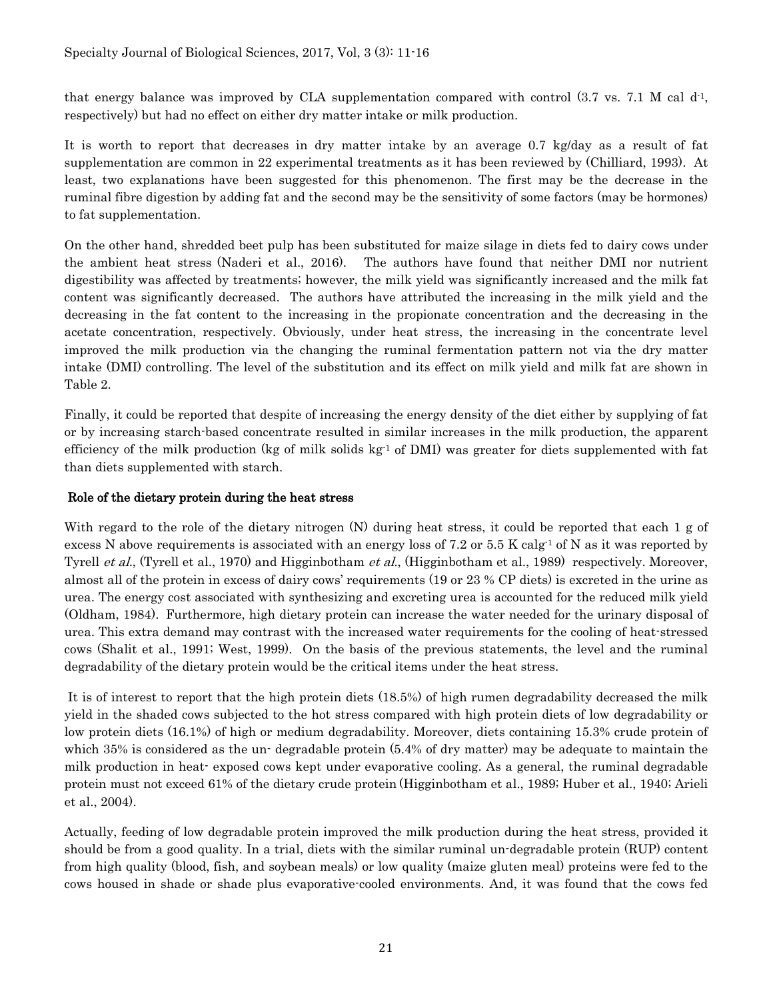that energy balance was improved by CLA supplementation compared with control  $(3.7 \text{ vs. } 7.1 \text{ M cal d}^{-1})$ respectively) but had no effect on either dry matter intake or milk production.

It is worth to report that decreases in dry matter intake by an average 0.7 kg/day as a result of fat supplementation are common in 22 experimental treatments as it has been reviewed by (Chilliard, 1993). At least, two explanations have been suggested for this phenomenon. The first may be the decrease in the ruminal fibre digestion by adding fat and the second may be the sensitivity of some factors (may be hormones) to fat supplementation.

On the other hand, shredded beet pulp has been substituted for maize silage in diets fed to dairy cows under the ambient heat stress (Naderi et al., 2016). The authors have found that neither DMI nor nutrient digestibility was affected by treatments; however, the milk yield was significantly increased and the milk fat content was significantly decreased. The authors have attributed the increasing in the milk yield and the decreasing in the fat content to the increasing in the propionate concentration and the decreasing in the acetate concentration, respectively. Obviously, under heat stress, the increasing in the concentrate level improved the milk production via the changing the ruminal fermentation pattern not via the dry matter intake (DMI) controlling. The level of the substitution and its effect on milk yield and milk fat are shown in Table 2.

Finally, it could be reported that despite of increasing the energy density of the diet either by supplying of fat or by increasing starch-based concentrate resulted in similar increases in the milk production, the apparent efficiency of the milk production (kg of milk solids  $kg<sup>-1</sup>$  of DMI) was greater for diets supplemented with fat than diets supplemented with starch.

## Role of the dietary protein during the heat stress

With regard to the role of the dietary nitrogen (N) during heat stress, it could be reported that each 1 g of excess N above requirements is associated with an energy loss of 7.2 or 5.5 K calg<sup>-1</sup> of N as it was reported by Tyrell *et al.*, (Tyrell et al., 1970) and Higginbotham *et al.*, (Higginbotham et al., 1989) respectively. Moreover, almost all of the protein in excess of dairy cows' requirements (19 or 23 % CP diets) is excreted in the urine as urea. The energy cost associated with synthesizing and excreting urea is accounted for the reduced milk yield (Oldham, 1984). Furthermore, high dietary protein can increase the water needed for the urinary disposal of urea. This extra demand may contrast with the increased water requirements for the cooling of heat-stressed cows (Shalit et al., 1991; West, 1999). On the basis of the previous statements, the level and the ruminal degradability of the dietary protein would be the critical items under the heat stress.

It is of interest to report that the high protein diets (18.5%) of high rumen degradability decreased the milk yield in the shaded cows subjected to the hot stress compared with high protein diets of low degradability or low protein diets (16.1%) of high or medium degradability. Moreover, diets containing 15.3% crude protein of which 35% is considered as the un-degradable protein  $(5.4%$  of dry matter) may be adequate to maintain the milk production in heat- exposed cows kept under evaporative cooling. As a general, the ruminal degradable protein must not exceed 61% of the dietary crude protein (Higginbotham et al., 1989; Huber et al., 1940; Arieli et al., 2004).

Actually, feeding of low degradable protein improved the milk production during the heat stress, provided it should be from a good quality. In a trial, diets with the similar ruminal un-degradable protein (RUP) content from high quality (blood, fish, and soybean meals) or low quality (maize gluten meal) proteins were fed to the cows housed in shade or shade plus evaporative-cooled environments. And, it was found that the cows fed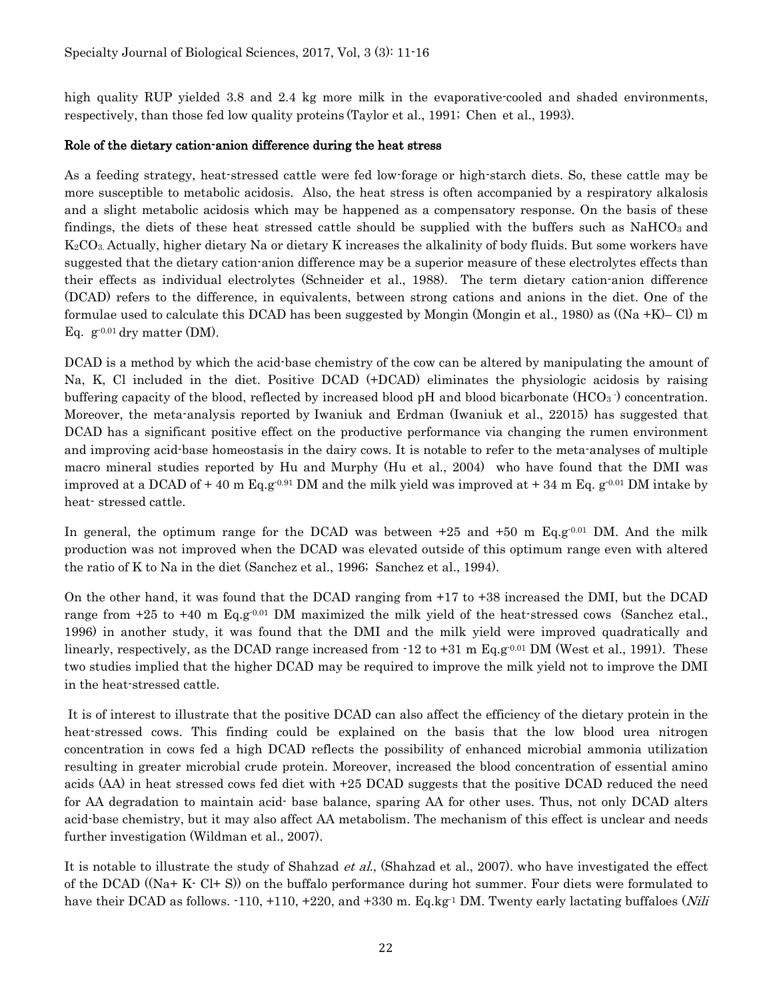high quality RUP yielded 3.8 and 2.4 kg more milk in the evaporative-cooled and shaded environments, respectively, than those fed low quality proteins (Taylor et al., 1991; Chen et al., 1993).

### Role of the dietary cation-anion difference during the heat stress

As a feeding strategy, heat-stressed cattle were fed low-forage or high-starch diets. So, these cattle may be more susceptible to metabolic acidosis. Also, the heat stress is often accompanied by a respiratory alkalosis and a slight metabolic acidosis which may be happened as a compensatory response. On the basis of these findings, the diets of these heat stressed cattle should be supplied with the buffers such as  $NaHCO<sub>3</sub>$  and K2CO3. Actually, higher dietary Na or dietary K increases the alkalinity of body fluids. But some workers have suggested that the dietary cation-anion difference may be a superior measure of these electrolytes effects than their effects as individual electrolytes (Schneider et al., 1988). The term dietary cation-anion difference (DCAD) refers to the difference, in equivalents, between strong cations and anions in the diet. One of the formulae used to calculate this DCAD has been suggested by Mongin (Mongin et al., 1980) as ((Na +K)– Cl) m Eq.  $g^{-0.01}$  dry matter (DM).

DCAD is a method by which the acid-base chemistry of the cow can be altered by manipulating the amount of Na, K, Cl included in the diet. Positive DCAD (+DCAD) eliminates the physiologic acidosis by raising buffering capacity of the blood, reflected by increased blood  $pH$  and blood bicarbonate ( $HCO<sub>3</sub>$ ) concentration. Moreover, the meta-analysis reported by Iwaniuk and Erdman (Iwaniuk et al., 22015) has suggested that DCAD has a significant positive effect on the productive performance via changing the rumen environment and improving acid-base homeostasis in the dairy cows. It is notable to refer to the meta-analyses of multiple macro mineral studies reported by Hu and Murphy (Hu et al., 2004) who have found that the DMI was improved at a DCAD of +40 m Eq.g<sup>-0.91</sup> DM and the milk yield was improved at +34 m Eq. g<sup>-0.01</sup> DM intake by heat- stressed cattle.

In general, the optimum range for the DCAD was between  $+25$  and  $+50$  m Eq.g<sup>-0.01</sup> DM. And the milk production was not improved when the DCAD was elevated outside of this optimum range even with altered the ratio of K to Na in the diet (Sanchez et al., 1996; Sanchez et al., 1994).

On the other hand, it was found that the DCAD ranging from +17 to +38 increased the DMI, but the DCAD range from  $+25$  to  $+40$  m Eq.g<sup>-0.01</sup> DM maximized the milk yield of the heat-stressed cows (Sanchez etal., 1996) in another study, it was found that the DMI and the milk yield were improved quadratically and linearly, respectively, as the DCAD range increased from  $-12$  to  $+31$  m Eq.g<sup>-0.01</sup> DM (West et al., 1991). These two studies implied that the higher DCAD may be required to improve the milk yield not to improve the DMI in the heat-stressed cattle.

It is of interest to illustrate that the positive DCAD can also affect the efficiency of the dietary protein in the heat-stressed cows. This finding could be explained on the basis that the low blood urea nitrogen concentration in cows fed a high DCAD reflects the possibility of enhanced microbial ammonia utilization resulting in greater microbial crude protein. Moreover, increased the blood concentration of essential amino acids (AA) in heat stressed cows fed diet with +25 DCAD suggests that the positive DCAD reduced the need for AA degradation to maintain acid- base balance, sparing AA for other uses. Thus, not only DCAD alters acid-base chemistry, but it may also affect AA metabolism. The mechanism of this effect is unclear and needs further investigation (Wildman et al., 2007).

It is notable to illustrate the study of Shahzad *et al.*, (Shahzad et al., 2007). who have investigated the effect of the DCAD ((Na+ K- Cl+ S)) on the buffalo performance during hot summer. Four diets were formulated to have their DCAD as follows.  $-110$ ,  $+110$ ,  $+220$ , and  $+330$  m. Eq.kg<sup>-1</sup> DM. Twenty early lactating buffaloes (*Nili*)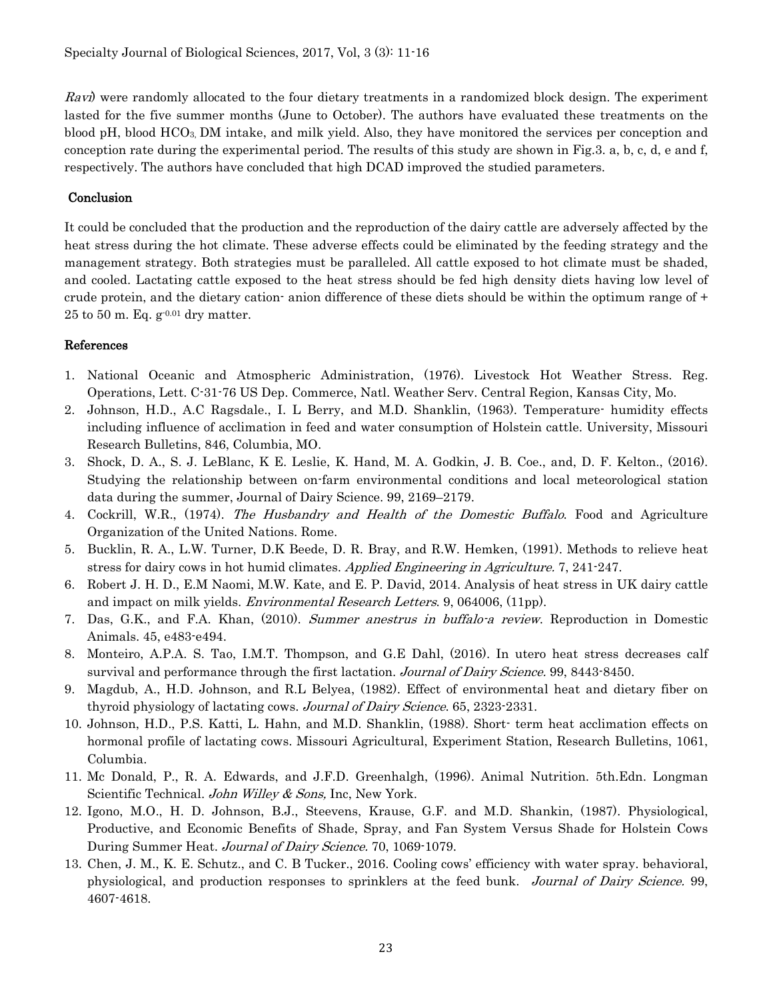$Rayi$ ) were randomly allocated to the four dietary treatments in a randomized block design. The experiment lasted for the five summer months (June to October). The authors have evaluated these treatments on the blood pH, blood HCO3, DM intake, and milk yield. Also, they have monitored the services per conception and conception rate during the experimental period. The results of this study are shown in Fig.3. a, b, c, d, e and f, respectively. The authors have concluded that high DCAD improved the studied parameters.

## **Conclusion**

It could be concluded that the production and the reproduction of the dairy cattle are adversely affected by the heat stress during the hot climate. These adverse effects could be eliminated by the feeding strategy and the management strategy. Both strategies must be paralleled. All cattle exposed to hot climate must be shaded, and cooled. Lactating cattle exposed to the heat stress should be fed high density diets having low level of crude protein, and the dietary cation- anion difference of these diets should be within the optimum range of +  $25$  to  $50$  m. Eq.  $g^{-0.01}$  dry matter.

## References

- 1. National Oceanic and Atmospheric Administration, (1976). Livestock Hot Weather Stress. Reg. Operations, Lett. C-31-76 US Dep. Commerce, Natl. Weather Serv. Central Region, Kansas City, Mo.
- 2. Johnson, H.D., A.C Ragsdale., I. L Berry, and M.D. Shanklin, (1963). Temperature- humidity effects including influence of acclimation in feed and water consumption of Holstein cattle. University, Missouri Research Bulletins, 846, Columbia, MO.
- 3. Shock, D. A., S. J. LeBlanc, K E. Leslie, K. Hand, M. A. Godkin, J. B. Coe., and, D. F. Kelton., (2016). Studying the relationship between on-farm environmental conditions and local meteorological station data during the summer, Journal of Dairy Science. 99, 2169–2179.
- 4. Cockrill, W.R., (1974). The Husbandry and Health of the Domestic Buffalo. Food and Agriculture Organization of the United Nations. Rome.
- 5. Bucklin, R. A., L.W. Turner, D.K Beede, D. R. Bray, and R.W. Hemken, (1991). Methods to relieve heat stress for dairy cows in hot humid climates. Applied Engineering in Agriculture. 7, 241-247.
- 6. Robert J. H. D., E.M Naomi, M.W. Kate, and E. P. David, 2014. Analysis of heat stress in UK dairy cattle and impact on milk yields. *Environmental Research Letters*. 9, 064006, (11pp).
- 7. Das, G.K., and F.A. Khan, (2010). Summer anestrus in buffalo-a review. Reproduction in Domestic Animals. 45, e483-e494.
- 8. Monteiro, A.P.A. S. Tao, I.M.T. Thompson, and G.E Dahl, (2016). In utero heat stress decreases calf survival and performance through the first lactation. Journal of Dairy Science. 99, 8443-8450.
- 9. Magdub, A., H.D. Johnson, and R.L Belyea, (1982). Effect of environmental heat and dietary fiber on thyroid physiology of lactating cows. Journal of Dairy Science. 65, 2323-2331.
- 10. Johnson, H.D., P.S. Katti, L. Hahn, and M.D. Shanklin, (1988). Short- term heat acclimation effects on hormonal profile of lactating cows. Missouri Agricultural, Experiment Station, Research Bulletins, 1061, Columbia.
- 11. Mc Donald, P., R. A. Edwards, and J.F.D. Greenhalgh, (1996). Animal Nutrition. 5th.Edn. Longman Scientific Technical. John Willey & Sons, Inc, New York.
- 12. Igono, M.O., H. D. Johnson, B.J., Steevens, Krause, G.F. and M.D. Shankin, (1987). Physiological, Productive, and Economic Benefits of Shade, Spray, and Fan System Versus Shade for Holstein Cows During Summer Heat. Journal of Dairy Science. 70, 1069-1079.
- 13. Chen, J. M., K. E. Schutz., and C. B Tucker., 2016. Cooling cows' efficiency with water spray. behavioral, physiological, and production responses to sprinklers at the feed bunk. Journal of Dairy Science. 99, 4607-4618.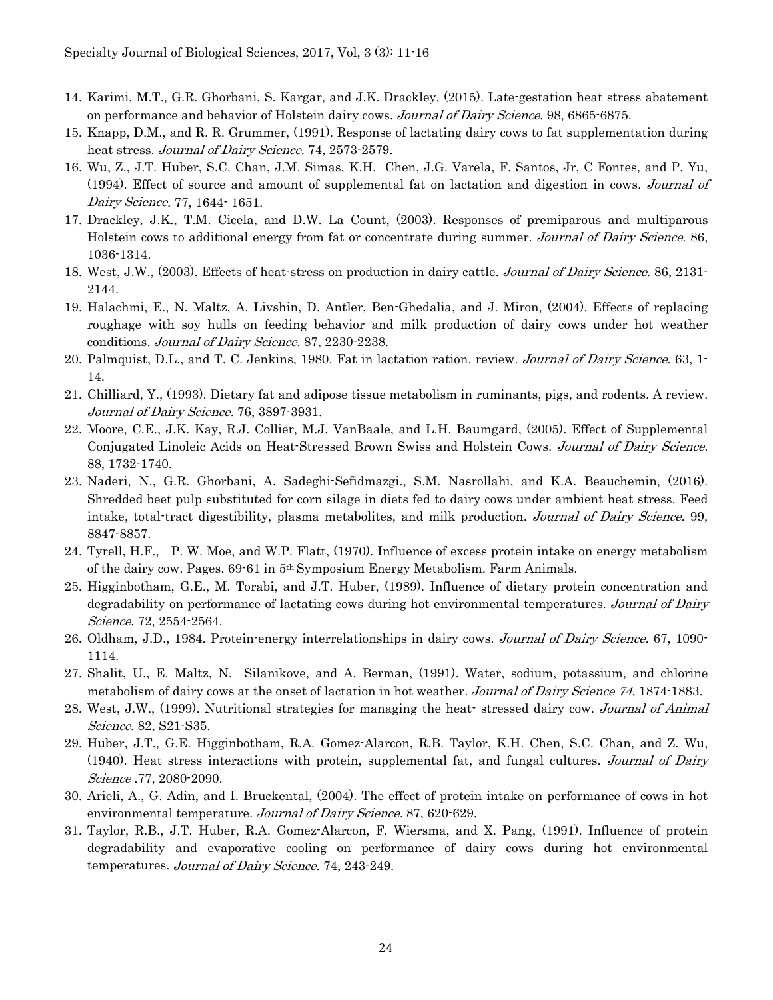- 14. Karimi, M.T., G.R. Ghorbani, S. Kargar, and J.K. Drackley, (2015). Late-gestation heat stress abatement on performance and behavior of Holstein dairy cows. Journal of Dairy Science. 98, 6865-6875.
- 15. Knapp, D.M., and R. R. Grummer, (1991). Response of lactating dairy cows to fat supplementation during heat stress. Journal of Dairy Science. 74, 2573-2579.
- 16. Wu, Z., J.T. Huber, S.C. Chan, J.M. Simas, K.H. Chen, J.G. Varela, F. Santos, Jr, C Fontes, and P. Yu, (1994). Effect of source and amount of supplemental fat on lactation and digestion in cows. Journal of Dairy Science. 77, 1644- 1651.
- 17. Drackley, J.K., T.M. Cicela, and D.W. La Count, (2003). Responses of premiparous and multiparous Holstein cows to additional energy from fat or concentrate during summer. Journal of Dairy Science. 86, 1036-1314.
- 18. West, J.W., (2003). Effects of heat-stress on production in dairy cattle. Journal of Dairy Science. 86, 2131- 2144.
- 19. Halachmi, E., N. Maltz, A. Livshin, D. Antler, Ben-Ghedalia, and J. Miron, (2004). Effects of replacing roughage with soy hulls on feeding behavior and milk production of dairy cows under hot weather conditions. Journal of Dairy Science. 87, 2230-2238.
- 20. Palmquist, D.L., and T. C. Jenkins, 1980. Fat in lactation ration. review. *Journal of Dairy Science*. 63, 1-14.
- 21. Chilliard, Y., (1993). Dietary fat and adipose tissue metabolism in ruminants, pigs, and rodents. A review. Journal of Dairy Science. 76, 3897-3931.
- 22. Moore, C.E., J.K. Kay, R.J. Collier, M.J. VanBaale, and L.H. Baumgard, (2005). Effect of Supplemental Conjugated Linoleic Acids on Heat-Stressed Brown Swiss and Holstein Cows. Journal of Dairy Science. 88, 1732-1740.
- 23. Naderi, N., G.R. Ghorbani, A. Sadeghi-Sefidmazgi., S.M. Nasrollahi, and K.A. Beauchemin, (2016). Shredded beet pulp substituted for corn silage in diets fed to dairy cows under ambient heat stress. Feed intake, total-tract digestibility, plasma metabolites, and milk production. Journal of Dairy Science. 99, 8847-8857.
- 24. Tyrell, H.F., P. W. Moe, and W.P. Flatt, (1970). Influence of excess protein intake on energy metabolism of the dairy cow. Pages. 69-61 in 5th Symposium Energy Metabolism. Farm Animals.
- 25. Higginbotham, G.E., M. Torabi, and J.T. Huber, (1989). Influence of dietary protein concentration and degradability on performance of lactating cows during hot environmental temperatures. Journal of Dairy Science. 72, 2554-2564.
- 26. Oldham, J.D., 1984. Protein-energy interrelationships in dairy cows. Journal of Dairy Science. 67, 1090- 1114.
- 27. Shalit, U., E. Maltz, N. Silanikove, and A. Berman, (1991). Water, sodium, potassium, and chlorine metabolism of dairy cows at the onset of lactation in hot weather. Journal of Dairy Science 74, 1874-1883.
- 28. West, J.W., (1999). Nutritional strategies for managing the heat-stressed dairy cow. Journal of Animal Science. 82, S21-S35.
- 29. Huber, J.T., G.E. Higginbotham, R.A. Gomez-Alarcon, R.B. Taylor, K.H. Chen, S.C. Chan, and Z. Wu, (1940). Heat stress interactions with protein, supplemental fat, and fungal cultures. Journal of Dairy Science .77, 2080-2090.
- 30. Arieli, A., G. Adin, and I. Bruckental, (2004). The effect of protein intake on performance of cows in hot environmental temperature. Journal of Dairy Science. 87, 620-629.
- 31. Taylor, R.B., J.T. Huber, R.A. Gomez-Alarcon, F. Wiersma, and X. Pang, (1991). Influence of protein degradability and evaporative cooling on performance of dairy cows during hot environmental temperatures. Journal of Dairy Science. 74, 243-249.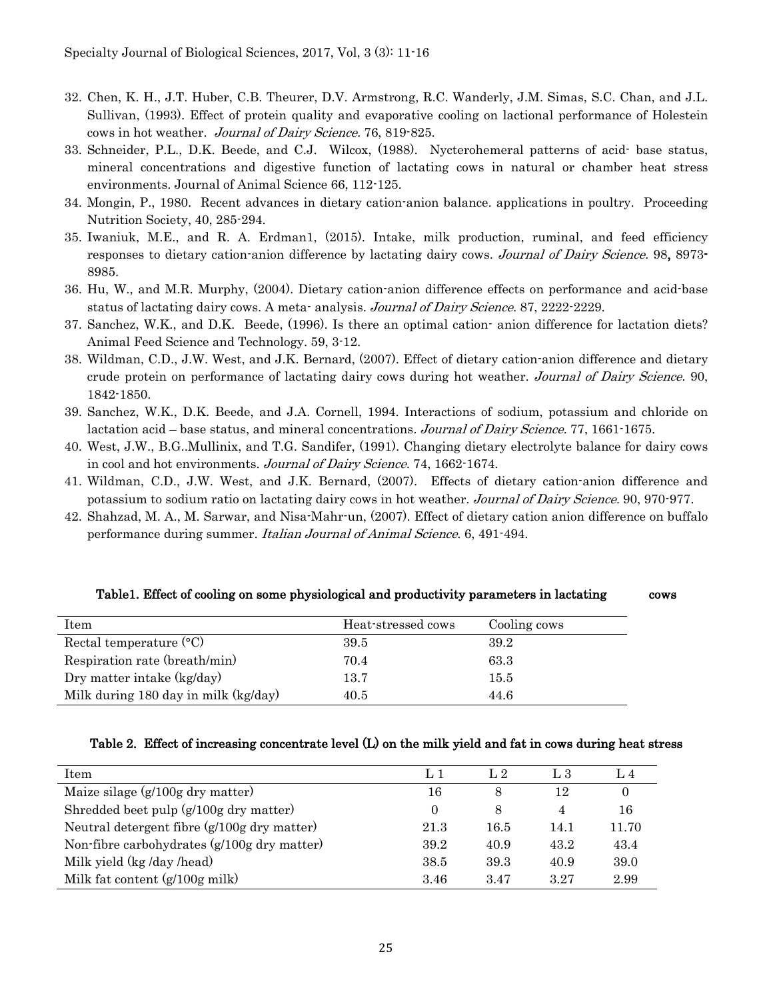- 32. Chen, K. H., J.T. Huber, C.B. Theurer, D.V. Armstrong, R.C. Wanderly, J.M. Simas, S.C. Chan, and J.L. Sullivan, (1993). Effect of protein quality and evaporative cooling on lactional performance of Holestein cows in hot weather. Journal of Dairy Science. 76, 819-825.
- 33. Schneider, P.L., D.K. Beede, and C.J. Wilcox, (1988). Nycterohemeral patterns of acid- base status, mineral concentrations and digestive function of lactating cows in natural or chamber heat stress environments. Journal of Animal Science 66, 112-125.
- 34. Mongin, P., 1980. Recent advances in dietary cation-anion balance. applications in poultry. Proceeding Nutrition Society, 40, 285-294.
- 35. Iwaniuk, M.E., and R. A. Erdman1, (2015). Intake, milk production, ruminal, and feed efficiency responses to dietary cation-anion difference by lactating dairy cows. *Journal of Dairy Science*. 98, 8973-8985.
- 36. Hu, W., and M.R. Murphy, (2004). Dietary cation-anion difference effects on performance and acid-base status of lactating dairy cows. A meta- analysis. Journal of Dairy Science. 87, 2222-2229.
- 37. Sanchez, W.K., and D.K. Beede, (1996). Is there an optimal cation- anion difference for lactation diets? Animal Feed Science and Technology. 59, 3-12.
- 38. Wildman, C.D., J.W. West, and J.K. Bernard, (2007). Effect of dietary cation-anion difference and dietary crude protein on performance of lactating dairy cows during hot weather. Journal of Dairy Science. 90, 1842-1850.
- 39. Sanchez, W.K., D.K. Beede, and J.A. Cornell, 1994. Interactions of sodium, potassium and chloride on lactation acid – base status, and mineral concentrations. Journal of Dairy Science. 77, 1661-1675.
- 40. West, J.W., B.G..Mullinix, and T.G. Sandifer, (1991). Changing dietary electrolyte balance for dairy cows in cool and hot environments. Journal of Dairy Science. 74, 1662-1674.
- 41. Wildman, C.D., J.W. West, and J.K. Bernard, (2007). Effects of dietary cation-anion difference and potassium to sodium ratio on lactating dairy cows in hot weather. Journal of Dairy Science. 90, 970-977.
- 42. Shahzad, M. A., M. Sarwar, and Nisa-Mahr-un, (2007). Effect of dietary cation anion difference on buffalo performance during summer. Italian Journal of Animal Science. 6, 491-494.

| Item                                 | Heat-stressed cows | Cooling cows |
|--------------------------------------|--------------------|--------------|
| Rectal temperature $(C)$             | 39.5               | 39.2         |
| Respiration rate (breath/min)        | 70.4               | 63.3         |
| Dry matter intake (kg/day)           | 13.7               | 15.5         |
| Milk during 180 day in milk (kg/day) | 40.5               | 44.6         |

#### Table1. Effect of cooling on some physiological and productivity parameters in lactating cows

#### Table 2. Effect of increasing concentrate level (L) on the milk yield and fat in cows during heat stress

| Item                                           | L 1  | L <sub>2</sub> | L 3  |       |
|------------------------------------------------|------|----------------|------|-------|
| Maize silage $(g/100g \, \text{dry matter})$   | 16   | 8              | 12   |       |
| Shredded beet pulp (g/100g dry matter)         |      | 8              | 4    | 16    |
| Neutral detergent fibre (g/100g dry matter)    | 21.3 | 16.5           | 14.1 | 11.70 |
| Non-fibre carbohydrates $(g/100g)$ dry matter) | 39.2 | 40.9           | 43.2 | 43.4  |
| Milk yield (kg /day /head)                     | 38.5 | 39.3           | 40.9 | 39.0  |
| Milk fat content $(g/100g \text{ milk})$       | 3.46 | 3.47           | 327  | 2.99  |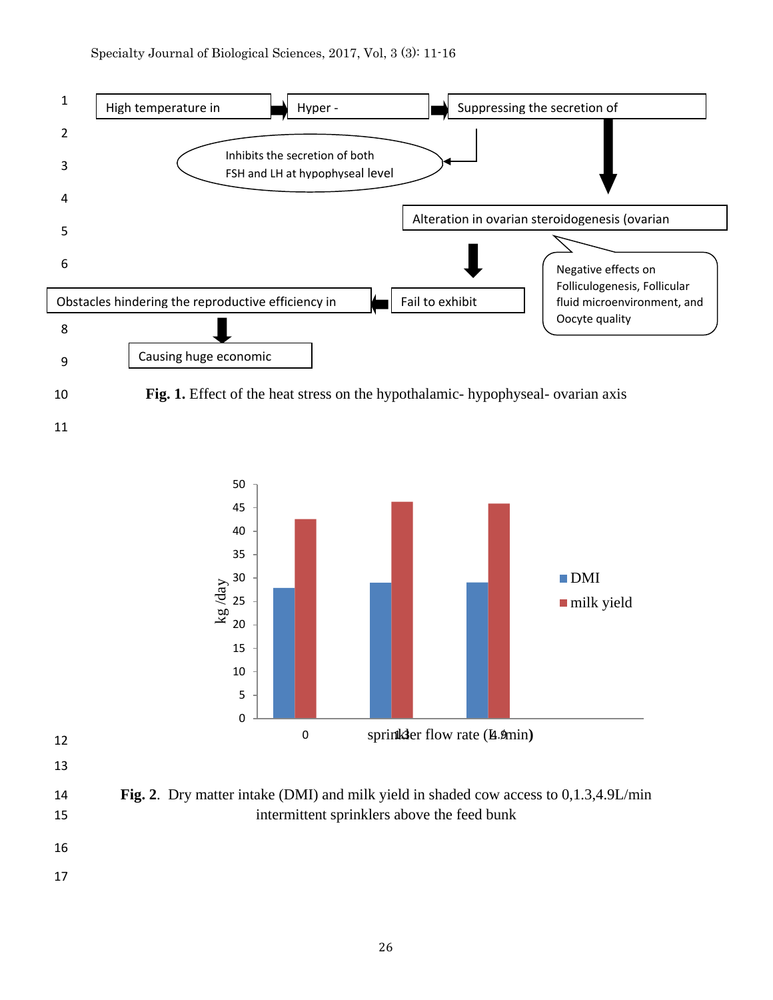



- 
- 

 **Fig. 2**. Dry matter intake (DMI) and milk yield in shaded cow access to 0,1.3,4.9L/min intermittent sprinklers above the feed bunk

- 
-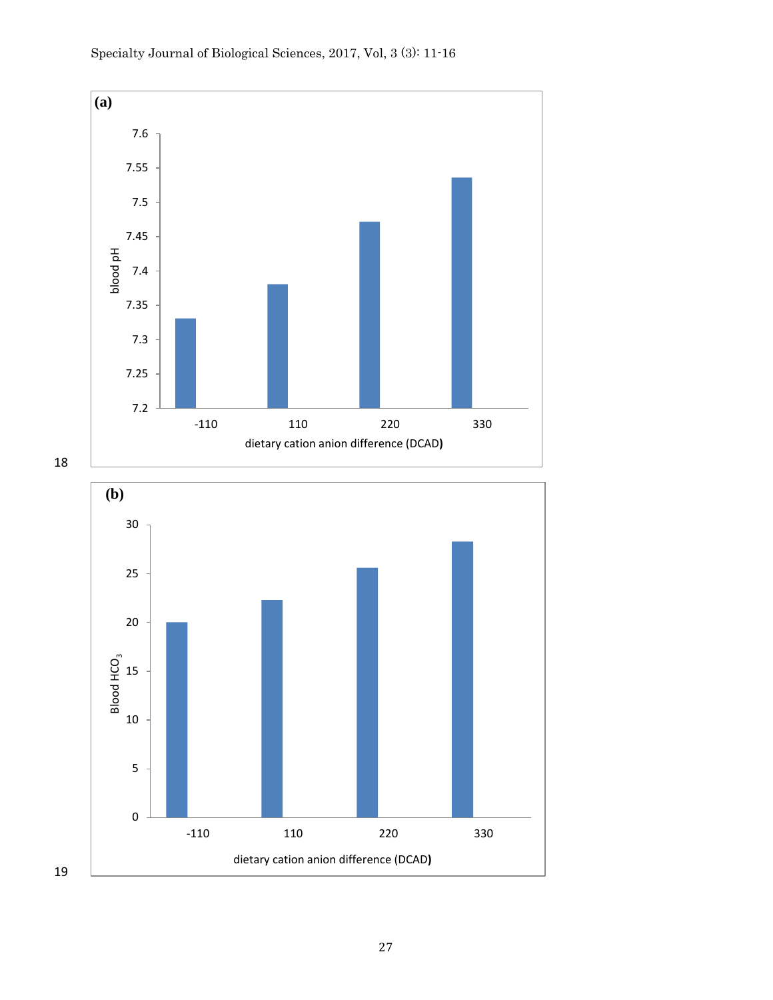

19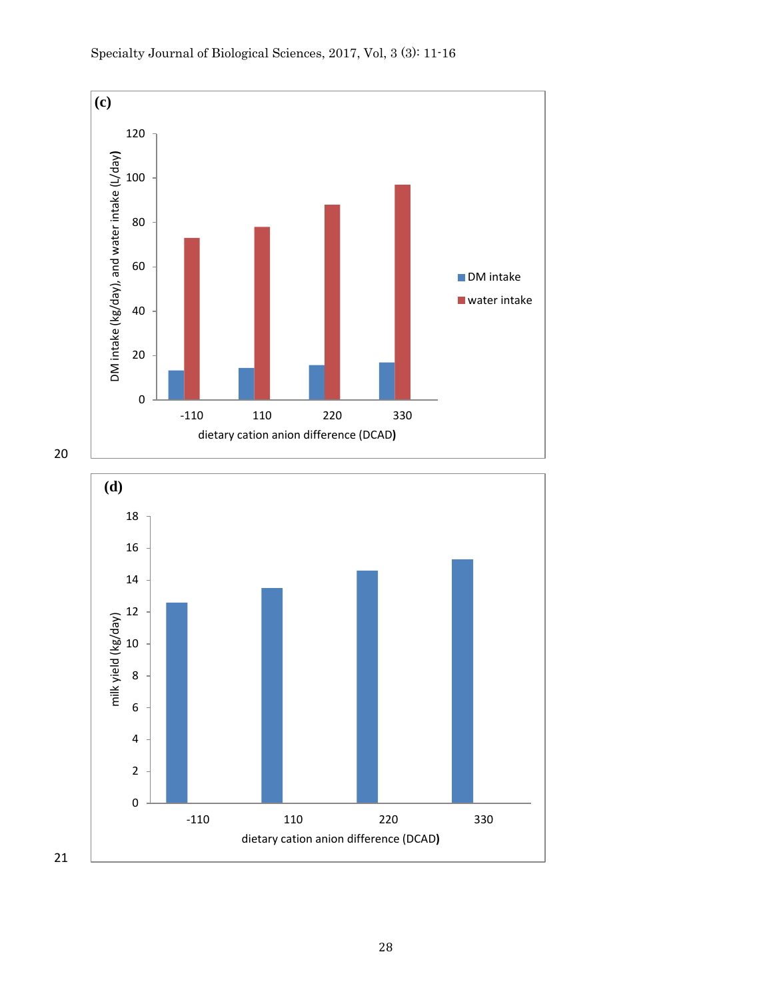